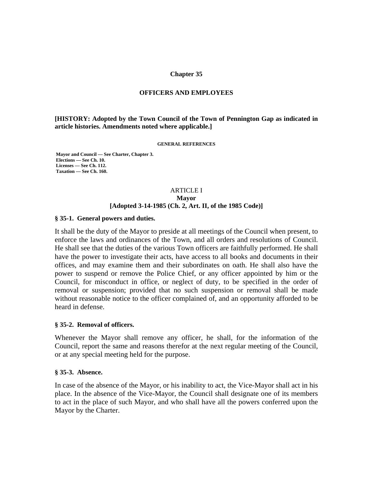### **Chapter 35**

#### **OFFICERS AND EMPLOYEES**

**[HISTORY: Adopted by the Town Council of the Town of Pennington Gap as indicated in article histories. Amendments noted where applicable.]** 

#### **GENERAL REFERENCES**

 **Mayor and Council — See Charter, Chapter 3. Elections — See Ch. 10. Licenses — See Ch. 112. Taxation — See Ch. 160.** 

## ARTICLE I **Mayor [Adopted 3-14-1985 (Ch. 2, Art. II, of the 1985 Code)]**

#### **§ 35-1. General powers and duties.**

It shall be the duty of the Mayor to preside at all meetings of the Council when present, to enforce the laws and ordinances of the Town, and all orders and resolutions of Council. He shall see that the duties of the various Town officers are faithfully performed. He shall have the power to investigate their acts, have access to all books and documents in their offices, and may examine them and their subordinates on oath. He shall also have the power to suspend or remove the Police Chief, or any officer appointed by him or the Council, for misconduct in office, or neglect of duty, to be specified in the order of removal or suspension; provided that no such suspension or removal shall be made without reasonable notice to the officer complained of, and an opportunity afforded to be heard in defense.

## **§ 35-2. Removal of officers.**

Whenever the Mayor shall remove any officer, he shall, for the information of the Council, report the same and reasons therefor at the next regular meeting of the Council, or at any special meeting held for the purpose.

## **§ 35-3. Absence.**

In case of the absence of the Mayor, or his inability to act, the Vice-Mayor shall act in his place. In the absence of the Vice-Mayor, the Council shall designate one of its members to act in the place of such Mayor, and who shall have all the powers conferred upon the Mayor by the Charter.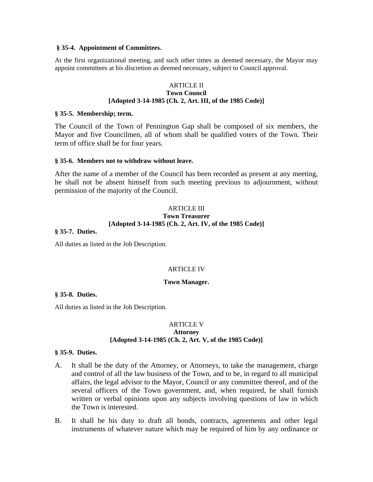### **§ 35-4. Appointment of Committees.**

At the first organizational meeting, and such other times as deemed necessary, the Mayor may appoint committees at his discretion as deemed necessary, subject to Council approval.

#### ARTICLE II **Town Council [Adopted 3-14-1985 (Ch. 2, Art. III, of the 1985 Code)]**

#### **§ 35-5. Membership; term.**

The Council of the Town of Pennington Gap shall be composed of six members, the Mayor and five Councilmen, all of whom shall be qualified voters of the Town. Their term of office shall be for four years.

### **§ 35-6. Members not to withdraw without leave.**

After the name of a member of the Council has been recorded as present at any meeting, he shall not be absent himself from such meeting previous to adjournment, without permission of the majority of the Council.

### ARTICLE III **Town Treasurer [Adopted 3-14-1985 (Ch. 2, Art. IV, of the 1985 Code)]**

### **§ 35-7. Duties.**

All duties as listed in the Job Description.

## ARTICLE IV

#### **Town Manager.**

#### **§ 35-8. Duties.**

All duties as listed in the Job Description.

## ARTICLE V **Attorney [Adopted 3-14-1985 (Ch. 2, Art. V, of the 1985 Code)]**

### **§ 35-9. Duties.**

- A. It shall be the duty of the Attorney, or Attorneys, to take the management, charge and control of all the law business of the Town, and to be, in regard to all municipal affairs, the legal advisor to the Mayor, Council or any committee thereof, and of the several officers of the Town government, and, when required, he shall furnish written or verbal opinions upon any subjects involving questions of law in which the Town is interested.
- B. It shall be his duty to draft all bonds, contracts, agreements and other legal instruments of whatever nature which may be required of him by any ordinance or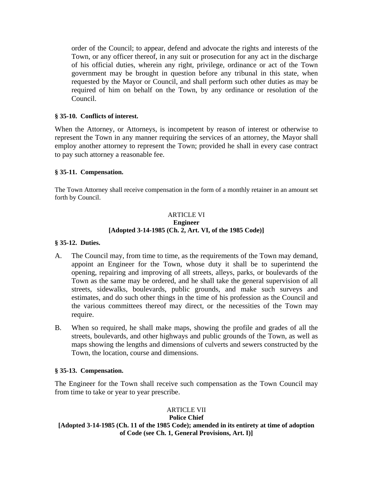order of the Council; to appear, defend and advocate the rights and interests of the Town, or any officer thereof, in any suit or prosecution for any act in the discharge of his official duties, wherein any right, privilege, ordinance or act of the Town government may be brought in question before any tribunal in this state, when requested by the Mayor or Council, and shall perform such other duties as may be required of him on behalf on the Town, by any ordinance or resolution of the Council.

## **§ 35-10. Conflicts of interest.**

When the Attorney, or Attorneys, is incompetent by reason of interest or otherwise to represent the Town in any manner requiring the services of an attorney, the Mayor shall employ another attorney to represent the Town; provided he shall in every case contract to pay such attorney a reasonable fee.

## **§ 35-11. Compensation.**

The Town Attorney shall receive compensation in the form of a monthly retainer in an amount set forth by Council.

## ARTICLE VI **Engineer [Adopted 3-14-1985 (Ch. 2, Art. VI, of the 1985 Code)]**

## **§ 35-12. Duties.**

- A. The Council may, from time to time, as the requirements of the Town may demand, appoint an Engineer for the Town, whose duty it shall be to superintend the opening, repairing and improving of all streets, alleys, parks, or boulevards of the Town as the same may be ordered, and he shall take the general supervision of all streets, sidewalks, boulevards, public grounds, and make such surveys and estimates, and do such other things in the time of his profession as the Council and the various committees thereof may direct, or the necessities of the Town may require.
- B. When so required, he shall make maps, showing the profile and grades of all the streets, boulevards, and other highways and public grounds of the Town, as well as maps showing the lengths and dimensions of culverts and sewers constructed by the Town, the location, course and dimensions.

## **§ 35-13. Compensation.**

The Engineer for the Town shall receive such compensation as the Town Council may from time to take or year to year prescribe.

## ARTICLE VII

#### **Police Chief [Adopted 3-14-1985 (Ch. 11 of the 1985 Code); amended in its entirety at time of adoption of Code (see Ch. 1, General Provisions, Art. I)]**